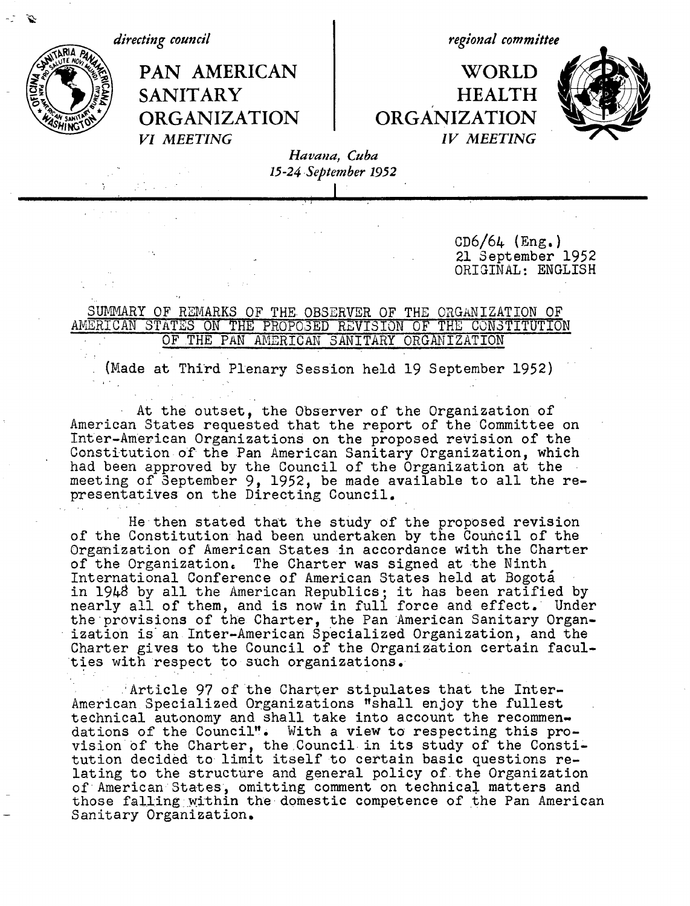*directing council*

*regional committee*

PAN AMERICAN | WORLD SANITARY **HEALTH ORGANIZATION ORGANIZATION** *VI MEETING IV MEETING*



*Havana, Cuba 15-24 ,September 1952*

> CD6/64 (Eng.) 21 September 1952 ORIGINAL: ENGLISH

## SUMMARY OF REMARKS OF THE. OBSERVER OF THE ORGANIZATION OF AMERICAN STATES ON THE PROPO3ED REVISION OF THE CONSTITUTION OF THE PAN AMERICAN SANITARY ORGANIZATION

(Made at Third Plenary Session held 19 September 1952)

At the outset, the Observer of the Organization of American States requested that the report of the Committee on Inter-American Organizations on the proposed revision of the Constitution of the Pan American Sanitary Organization, which had been approved by the Council of the Organization at the meeting of September 9, 1952, be made available to all the representatives on the Directing Council.

He then stated that the study of the proposed revision of the Constitution had been undertaken by the Council of the Organization of American States in accordance with the Charter of the Organization. The Charter was signed at the Ninth International Conference of American States held at Bogota in 1948 by all the American Republics; it has been ratified by nearly all of them, and is now in full force and effect. Under the provisions of the Charter, the Pan American Sanitary Organization is' an Inter-American Specialized Organization, and the Charter gives to the Council of the Organization certain faculties with respect to such organizations.

'Article 97 of 'the Charter stipulates that the Inter-American Specialized Organizations "shall enjoy the fullest technical autonomy and shall take into account the recommendations of the Council". With a view to respecting this provision'bf the Charter, the Council in its study of the Constitution decided to limit itself to certain basic questions relating to the structure and general policy of the Organization of American States, omitting comment on technical matters and those falling within the domestic competence of the Pan American Sanitary Organization.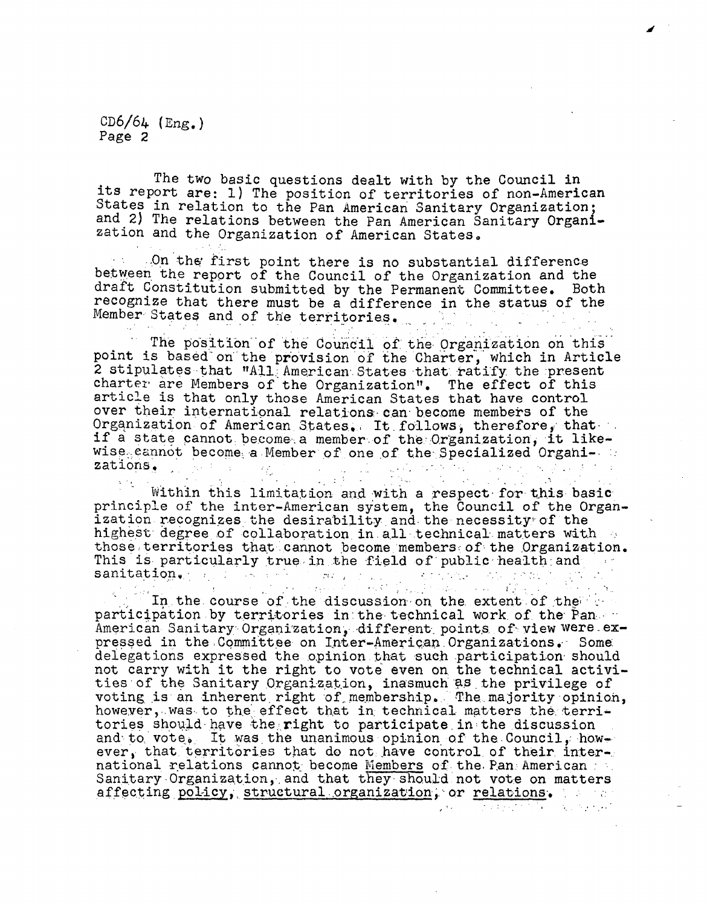CD6/64 (Eng.) Page 2

The two basic questions dealt with by the Council in its report are: 1) The position of territories of non-American States in relation to the Pan American Sanitary Organization; and 2) The relations between the Pan American Sanitary Organi- zation and the Organization of American States.

J

 $.$ On the first point there is no substantial difference between the report of the Council of the Organization and the draft Constitution submitted by the Permanent Committee. Both recognize that there must be a difference in the status of the Member States and of the territories.

The position of the Council of the Organization on this point is based on the provision of the Charter, which in Article 2 stipulates that  $\texttt{MAL}$  American States that ratify the present charter are Members of the Organization". The effect of this article is that only those American States that have control over their international relations can become members of the Organization of American States. It follows, therefore, that. if a state cannot become a member of the Organization, it like $wise<sub>0</sub> cannot become a Member of one of the Specialized Organization.$ zations,  $\mathcal{A}_{\mathcal{A}}$  , where  $\mathcal{A}_{\mathcal{A}}$  ,  $\mathcal{A}_{\mathcal{A}}$  $\ddot{\phantom{a}}$ 

Within this limitation and with a respect for this basic principle of the inter-American system, the Council of the Organization. recognizes the desirability and-the necessity'of the highest degree of collaboration in all technical matters with  $\alpha$ <br>those territories that cannot become members of the Organization. This is particularly true in the field of public-health and  $\cdots$ 

 $\mathcal{L}^{\text{max}}_{\text{max}}$ 

sanitation,. ... .... ~ ...X.:. ~ ...-. .,- .... ; -i\_ participation by territories in the technical work of the Pan. --<br>American Sanitary Organization, different points of view were expressed in the Committee on Inter-American Organizations. Some delegations expressed the opinion that such participation should not carry with it the right to vote even on the technical activities of the Sanitary Organization, inasmuch as the privilege of voting is an inherent right of membership. The majority opinion, however, was to the effect that in technical matters the territories should have the right to participate in the discussion and to vote. It was the unanimous opinion of the Council, however, that territories that do not have control of their international relations cannot become Members of the Pan. American ... Sanitary Organization, and that they should not vote on matters affecting policy, structural organization, or relations. ...

 $\mathcal{L}(\mathbf{X})$  and the set of the set of the set of the set of the set of the set of the set of the set of the set of the set of the set of the set of the set of the set of the set of the set of the set of the set of the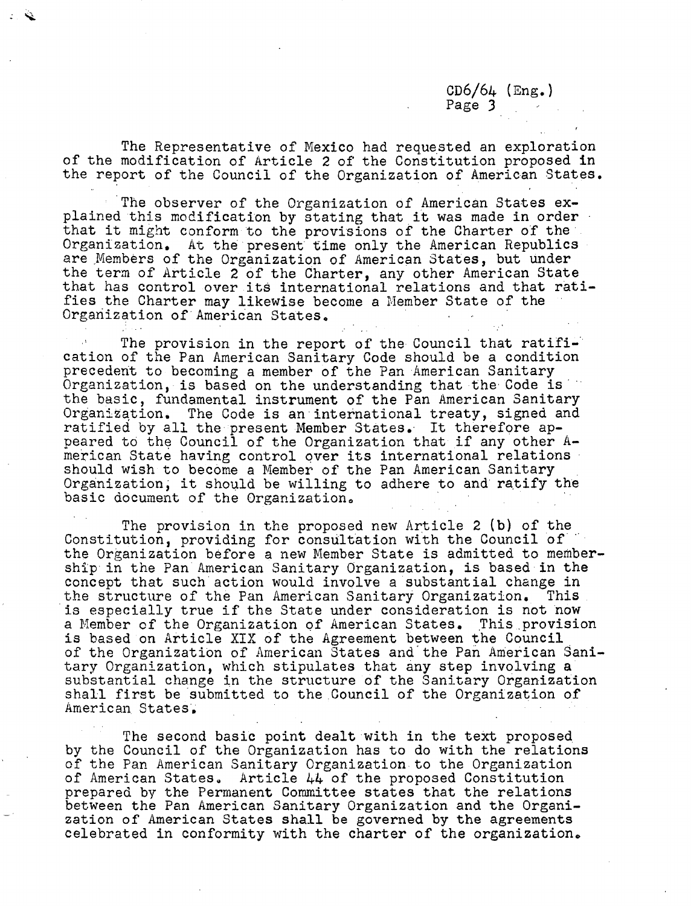CD6/64 (Eng.) Page 3

The Representative of Mexico had requested an exploration of the modification of Article 2 of the Constitution proposed in the report of the Council of the Organization of American States.

The observer of the Organization of American States explained this modification by stating that it was made in order that it might conform to the provisions of the Charter of the Organization. At the present time only the American Republics are Members of the Organization of American States, but under the term of Article 2 of the Charter, any other American State that has control over its international relations and that ratifies the Charter may likewise become a Member State of the Organization of American States.

The provision in the report of the Council that ratification of the Pan American Sanitary Code should be a condition precedent to becoming a member of the Pan American Sanitary Organization, is based on the understanding that the Code is' the basic, fundamental instrument of the Pan American Sanitary Organization. The Code is an international treaty, signed and ratified by all the present Member States. It therefore appeared to the Council of the Organization that if any other American State having control over its international relations should wish to become a Member of the Pan American Sanitary Organization, it should be willing to adhere to and ratify the basic document of the Organization.

The provision in the proposed new Article 2 (b) of the Constitution, providing for consultation with the Council of the Organization before a new Member State is admitted to membership in the Pan American Sanitary Organization, is based in the concept that such action would involve a substantial change in the structure of the Pan American Sanitary Organization. This the structure of the Pan American Sanitary Organization. is especially true if the State under consideration is not now a Member of the Organization of American States. This provision is based on Article XIX of the Agreement between the Council of the Organization of American States and'the Pan American Sanitary Organization, which stipulates that any step involving a substantial change in the structure of the Sanitary Organization shall first be submitted to the Council of the Organization of American States. -

The second basic point dealt with in the text proposed by the Council of the Organization has to do with the relations of the Pan American Sanitary Organization to the Organization of American States. Article 44 of the proposed Constitution prepared by the Permanent Committee states that the relations between the Pan American Sanitary Organization and the Organization of American States shall be governed by the agreements celebrated in conformity with the charter of the organization.